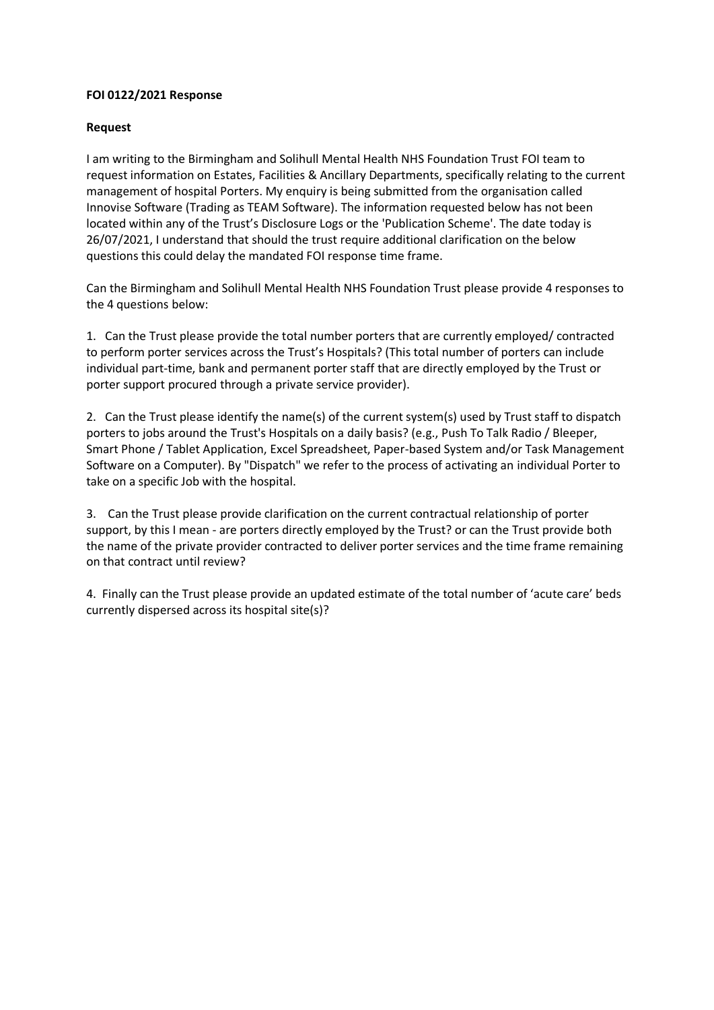### **FOI 0122/2021 Response**

#### **Request**

I am writing to the Birmingham and Solihull Mental Health NHS Foundation Trust FOI team to request information on Estates, Facilities & Ancillary Departments, specifically relating to the current management of hospital Porters. My enquiry is being submitted from the organisation called Innovise Software (Trading as TEAM Software). The information requested below has not been located within any of the Trust's Disclosure Logs or the 'Publication Scheme'. The date today is 26/07/2021, I understand that should the trust require additional clarification on the below questions this could delay the mandated FOI response time frame.

Can the Birmingham and Solihull Mental Health NHS Foundation Trust please provide 4 responses to the 4 questions below:

1. Can the Trust please provide the total number porters that are currently employed/ contracted to perform porter services across the Trust's Hospitals? (This total number of porters can include individual part-time, bank and permanent porter staff that are directly employed by the Trust or porter support procured through a private service provider).

2. Can the Trust please identify the name(s) of the current system(s) used by Trust staff to dispatch porters to jobs around the Trust's Hospitals on a daily basis? (e.g., Push To Talk Radio / Bleeper, Smart Phone / Tablet Application, Excel Spreadsheet, Paper-based System and/or Task Management Software on a Computer). By "Dispatch" we refer to the process of activating an individual Porter to take on a specific Job with the hospital.

3. Can the Trust please provide clarification on the current contractual relationship of porter support, by this I mean - are porters directly employed by the Trust? or can the Trust provide both the name of the private provider contracted to deliver porter services and the time frame remaining on that contract until review?

4. Finally can the Trust please provide an updated estimate of the total number of 'acute care' beds currently dispersed across its hospital site(s)?